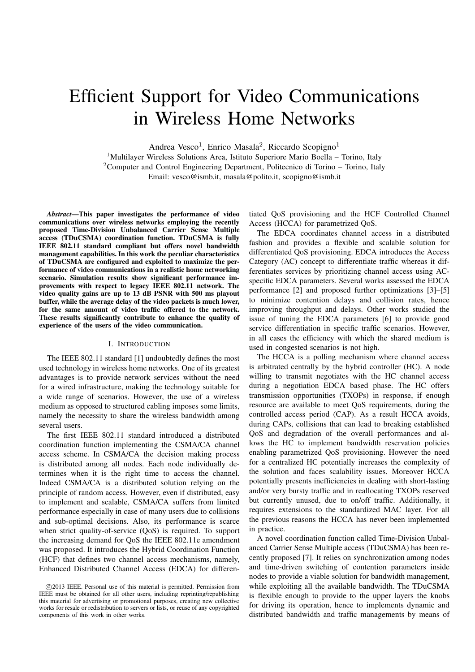# Efficient Support for Video Communications in Wireless Home Networks

Andrea Vesco<sup>1</sup>, Enrico Masala<sup>2</sup>, Riccardo Scopigno<sup>1</sup>

<sup>1</sup>Multilayer Wireless Solutions Area, Istituto Superiore Mario Boella – Torino, Italy <sup>2</sup>Computer and Control Engineering Department, Politecnico di Torino – Torino, Italy Email: vesco@ismb.it, masala@polito.it, scopigno@ismb.it

*Abstract*—This paper investigates the performance of video communications over wireless networks employing the recently proposed Time-Division Unbalanced Carrier Sense Multiple access (TDuCSMA) coordination function. TDuCSMA is fully IEEE 802.11 standard compliant but offers novel bandwidth management capabilities. In this work the peculiar characteristics of TDuCSMA are configured and exploited to maximize the performance of video communications in a realistic home networking scenario. Simulation results show significant performance improvements with respect to legacy IEEE 802.11 network. The video quality gains are up to 13 dB PSNR with 500 ms playout buffer, while the average delay of the video packets is much lower, for the same amount of video traffic offered to the network. These results significantly contribute to enhance the quality of experience of the users of the video communication.

#### I. INTRODUCTION

The IEEE 802.11 standard [1] undoubtedly defines the most used technology in wireless home networks. One of its greatest advantages is to provide network services without the need for a wired infrastructure, making the technology suitable for a wide range of scenarios. However, the use of a wireless medium as opposed to structured cabling imposes some limits, namely the necessity to share the wireless bandwidth among several users.

The first IEEE 802.11 standard introduced a distributed coordination function implementing the CSMA/CA channel access scheme. In CSMA/CA the decision making process is distributed among all nodes. Each node individually determines when it is the right time to access the channel. Indeed CSMA/CA is a distributed solution relying on the principle of random access. However, even if distributed, easy to implement and scalable, CSMA/CA suffers from limited performance especially in case of many users due to collisions and sub-optimal decisions. Also, its performance is scarce when strict quality-of-service (QoS) is required. To support the increasing demand for QoS the IEEE 802.11e amendment was proposed. It introduces the Hybrid Coordination Function (HCF) that defines two channel access mechanisms, namely, Enhanced Distributed Channel Access (EDCA) for differentiated QoS provisioning and the HCF Controlled Channel Access (HCCA) for parametrized QoS.

The EDCA coordinates channel access in a distributed fashion and provides a flexible and scalable solution for differentiated QoS provisioning. EDCA introduces the Access Category (AC) concept to differentiate traffic whereas it differentiates services by prioritizing channel access using ACspecific EDCA parameters. Several works assessed the EDCA performance [2] and proposed further optimizations [3]–[5] to minimize contention delays and collision rates, hence improving throughput and delays. Other works studied the issue of tuning the EDCA parameters [6] to provide good service differentiation in specific traffic scenarios. However, in all cases the efficiency with which the shared medium is used in congested scenarios is not high.

The HCCA is a polling mechanism where channel access is arbitrated centrally by the hybrid controller (HC). A node willing to transmit negotiates with the HC channel access during a negotiation EDCA based phase. The HC offers transmission opportunities (TXOPs) in response, if enough resource are available to meet QoS requirements, during the controlled access period (CAP). As a result HCCA avoids, during CAPs, collisions that can lead to breaking established QoS and degradation of the overall performances and allows the HC to implement bandwidth reservation policies enabling parametrized QoS provisioning. However the need for a centralized HC potentially increases the complexity of the solution and faces scalability issues. Moreover HCCA potentially presents inefficiencies in dealing with short-lasting and/or very bursty traffic and in reallocating TXOPs reserved but currently unused, due to on/off traffic. Additionally, it requires extensions to the standardized MAC layer. For all the previous reasons the HCCA has never been implemented in practice.

A novel coordination function called Time-Division Unbalanced Carrier Sense Multiple access (TDuCSMA) has been recently proposed [7]. It relies on synchronization among nodes and time-driven switching of contention parameters inside nodes to provide a viable solution for bandwidth management, while exploiting all the available bandwidth. The TDuCSMA is flexible enough to provide to the upper layers the knobs for driving its operation, hence to implements dynamic and distributed bandwidth and traffic managements by means of

c 2013 IEEE. Personal use of this material is permitted. Permission from IEEE must be obtained for all other users, including reprinting/republishing this material for advertising or promotional purposes, creating new collective works for resale or redistribution to servers or lists, or reuse of any copyrighted components of this work in other works.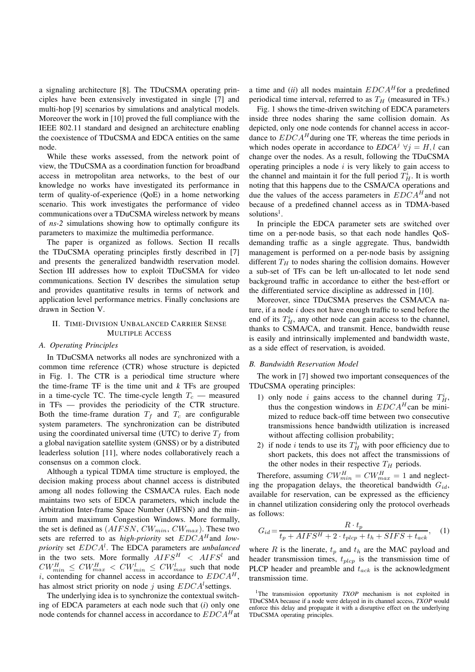a signaling architecture [8]. The TDuCSMA operating principles have been extensively investigated in single [7] and multi-hop [9] scenarios by simulations and analytical models. Moreover the work in [10] proved the full compliance with the IEEE 802.11 standard and designed an architecture enabling the coexistence of TDuCSMA and EDCA entities on the same node.

While these works assessed, from the network point of view, the TDuCSMA as a coordination function for broadband access in metropolitan area networks, to the best of our knowledge no works have investigated its performance in term of quality-of-experience (QoE) in a home networking scenario. This work investigates the performance of video communications over a TDuCSMA wireless network by means of *ns-2* simulations showing how to optimally configure its parameters to maximize the multimedia performance.

The paper is organized as follows. Section II recalls the TDuCSMA operating principles firstly described in [7] and presents the generalized bandwidth reservation model. Section III addresses how to exploit TDuCSMA for video communications. Section IV describes the simulation setup and provides quantitative results in terms of network and application level performance metrics. Finally conclusions are drawn in Section V.

# II. TIME-DIVISION UNBALANCED CARRIER SENSE MULTIPLE ACCESS

### *A. Operating Principles*

In TDuCSMA networks all nodes are synchronized with a common time reference (CTR) whose structure is depicted in Fig. 1. The CTR is a periodical time structure where the time-frame TF is the time unit and *k* TFs are grouped in a time-cycle TC. The time-cycle length  $T_c$  — measured in TFs — provides the periodicity of the CTR structure. Both the time-frame duration  $T_f$  and  $T_c$  are configurable system parameters. The synchronization can be distributed using the coordinated universal time (UTC) to derive  $T_f$  from a global navigation satellite system (GNSS) or by a distributed leaderless solution [11], where nodes collaboratively reach a consensus on a common clock.

Although a typical TDMA time structure is employed, the decision making process about channel access is distributed among all nodes following the CSMA/CA rules. Each node maintains two sets of EDCA parameters, which include the Arbitration Inter-frame Space Number (AIFSN) and the minimum and maximum Congestion Windows. More formally, the set is defined as  $(AIFSN, CW_{min}, CW_{max})$ . These two sets are referred to as *high-priority* set  $EDCA<sup>H</sup>$  and *lowpriority* set EDCA<sup>l</sup> . The EDCA parameters are *unbalanced* in the two sets. More formally  $AIFS^H \leq AIFS^l$  and  $CW_{min}^H \leq CW_{max}^H < CW_{min}^l \leq CW_{max}^l$  such that node i, contending for channel access in accordance to  $EDCA^H$ , has almost strict priority on node j using  $EDCA^l$  settings.

The underlying idea is to synchronize the contextual switching of EDCA parameters at each node such that (*i*) only one node contends for channel access in accordance to  $EDCA<sup>H</sup>$ at

a time and  $(ii)$  all nodes maintain  $EDCA<sup>H</sup>$  for a predefined periodical time interval, referred to as  $T_H$  (measured in TFs.)

Fig. 1 shows the time-driven switching of EDCA parameters inside three nodes sharing the same collision domain. As depicted, only one node contends for channel access in accordance to  $EDCA^H$  during one TF, whereas the time periods in which nodes operate in accordance to  $EDCA^{j}$   $\forall j = H, l$  can change over the nodes. As a result, following the TDuCSMA operating principles a node  $i$  is very likely to gain access to the channel and maintain it for the full period  $T_H^i$ . It is worth noting that this happens due to the CSMA/CA operations and due the values of the access parameters in  $EDCA<sup>H</sup>$  and not because of a predefined channel access as in TDMA-based solutions<sup>1</sup>.

In principle the EDCA parameter sets are switched over time on a per-node basis, so that each node handles QoSdemanding traffic as a single aggregate. Thus, bandwidth management is performed on a per-node basis by assigning different  $T_H$  to nodes sharing the collision domains. However a sub-set of TFs can be left un-allocated to let node send background traffic in accordance to either the best-effort or the differentiated service discipline as addressed in [10].

Moreover, since TDuCSMA preserves the CSMA/CA nature, if a node  $i$  does not have enough traffic to send before the end of its  $T_H^i$ , any other node can gain access to the channel, thanks to CSMA/CA, and transmit. Hence, bandwidth reuse is easily and intrinsically implemented and bandwidth waste, as a side effect of reservation, is avoided.

# *B. Bandwidth Reservation Model*

The work in [7] showed two important consequences of the TDuCSMA operating principles:

- 1) only node *i* gains access to the channel during  $T_H^i$ , thus the congestion windows in  $EDCA<sup>H</sup>$  can be minimized to reduce back-off time between two consecutive transmissions hence bandwidth utilization is increased without affecting collision probability;
- 2) if node *i* tends to use its  $T_H^i$  with poor efficiency due to short packets, this does not affect the transmissions of the other nodes in their respective  $T_H$  periods.

Therefore, assuming  $CW_{min}^H = CW_{max}^H = 1$  and neglecting the propagation delays, the theoretical bandwidth  $G_{id}$ , available for reservation, can be expressed as the efficiency in channel utilization considering only the protocol overheads as follows:

$$
G_{id} = \frac{R \cdot t_p}{t_p + AIFS^H + 2 \cdot t_{plcp} + t_h + SIFS + t_{ack}}, \quad (1)
$$

where R is the linerate,  $t_p$  and  $t_h$  are the MAC payload and header transmission times,  $t_{plep}$  is the transmission time of PLCP header and preamble and  $t_{ack}$  is the acknowledgment transmission time.

<sup>&</sup>lt;sup>1</sup>The transmission opportunity *TXOP* mechanism is not exploited in TDuCSMA because if a node were delayed in its channel access, *TXOP* would enforce this delay and propagate it with a disruptive effect on the underlying TDuCSMA operating principles.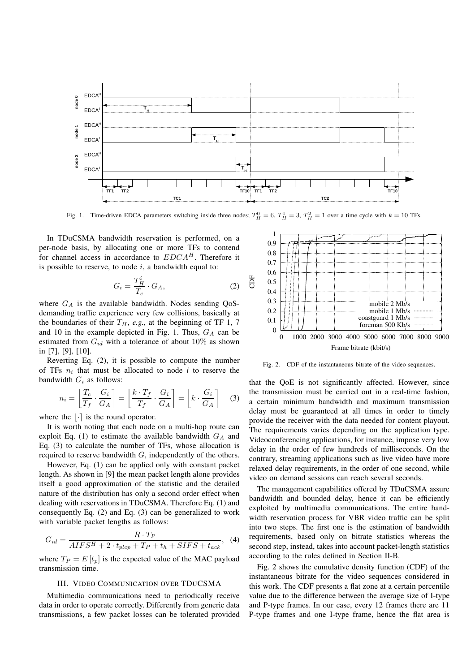

Fig. 1. Time-driven EDCA parameters switching inside three nodes;  $T_H^0 = 6$ ,  $T_H^1 = 3$ ,  $T_H^2 = 1$  over a time cycle with  $k = 10$  TFs.

In TDuCSMA bandwidth reservation is performed, on a per-node basis, by allocating one or more TFs to contend for channel access in accordance to  $EDCA<sup>H</sup>$ . Therefore it is possible to reserve, to node  $i$ , a bandwidth equal to:

$$
G_i = \frac{T_H^i}{T_c} \cdot G_A,\tag{2}
$$

where  $G_A$  is the available bandwidth. Nodes sending QoSdemanding traffic experience very few collisions, basically at the boundaries of their  $T_H$ , *e.g.*, at the beginning of TF 1, 7 and 10 in the example depicted in Fig. 1. Thus,  $G_A$  can be estimated from  $G_{id}$  with a tolerance of about  $10\%$  as shown in [7], [9], [10].

Reverting Eq. (2), it is possible to compute the number of TFs  $n_i$  that must be allocated to node  $i$  to reserve the bandwidth  $G_i$  as follows:

$$
n_i = \left\lfloor \frac{T_c}{T_f} \cdot \frac{G_i}{G_A} \right\rceil = \left\lfloor \frac{k \cdot T_f}{T_f} \cdot \frac{G_i}{G_A} \right\rceil = \left\lfloor k \cdot \frac{G_i}{G_A} \right\rceil \tag{3}
$$

where the  $|\cdot|$  is the round operator.

It is worth noting that each node on a multi-hop route can exploit Eq. (1) to estimate the available bandwidth  $G_A$  and Eq. (3) to calculate the number of TFs, whose allocation is required to reserve bandwidth G, independently of the others.

However, Eq. (1) can be applied only with constant packet length. As shown in [9] the mean packet length alone provides itself a good approximation of the statistic and the detailed nature of the distribution has only a second order effect when dealing with reservations in TDuCSMA. Therefore Eq. (1) and consequently Eq. (2) and Eq. (3) can be generalized to work with variable packet lengths as follows:

$$
G_{id} = \frac{R \cdot T_P}{AIFS^H + 2 \cdot t_{plep} + T_P + t_h + SIFS + t_{ack}}, \quad (4)
$$

where  $T_P = E[t_p]$  is the expected value of the MAC payload transmission time.

### III. VIDEO COMMUNICATION OVER TDUCSMA

Multimedia communications need to periodically receive data in order to operate correctly. Differently from generic data transmissions, a few packet losses can be tolerated provided



Fig. 2. CDF of the instantaneous bitrate of the video sequences.

that the QoE is not significantly affected. However, since the transmission must be carried out in a real-time fashion, a certain minimum bandwidth and maximum transmission delay must be guaranteed at all times in order to timely provide the receiver with the data needed for content playout. The requirements varies depending on the application type. Videoconferencing applications, for instance, impose very low delay in the order of few hundreds of milliseconds. On the contrary, streaming applications such as live video have more relaxed delay requirements, in the order of one second, while video on demand sessions can reach several seconds.

The management capabilities offered by TDuCSMA assure bandwidth and bounded delay, hence it can be efficiently exploited by multimedia communications. The entire bandwidth reservation process for VBR video traffic can be split into two steps. The first one is the estimation of bandwidth requirements, based only on bitrate statistics whereas the second step, instead, takes into account packet-length statistics according to the rules defined in Section II-B.

Fig. 2 shows the cumulative density function (CDF) of the instantaneous bitrate for the video sequences considered in this work. The CDF presents a flat zone at a certain percentile value due to the difference between the average size of I-type and P-type frames. In our case, every 12 frames there are 11 P-type frames and one I-type frame, hence the flat area is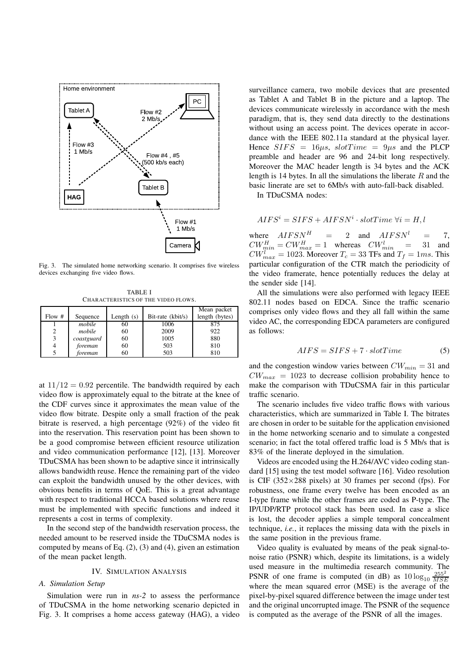

Fig. 3. The simulated home networking scenario. It comprises five wireless devices exchanging five video flows.

TABLE I CHARACTERISTICS OF THE VIDEO FLOWS.

|        |            |              |                   | Mean packet    |
|--------|------------|--------------|-------------------|----------------|
| Flow # | Sequence   | Length $(s)$ | Bit-rate (kbit/s) | length (bytes) |
|        | mobile     | 60           | 1006              | 875            |
|        | mobile     | 60           | 2009              | 922            |
| 3      | coastguard | 60           | 1005              | 880            |
|        | foreman    | 60           | 503               | 810            |
|        | foreman    | 60           | 503               | 810            |

at  $11/12 = 0.92$  percentile. The bandwidth required by each video flow is approximately equal to the bitrate at the knee of the CDF curves since it approximates the mean value of the video flow bitrate. Despite only a small fraction of the peak bitrate is reserved, a high percentage (92%) of the video fit into the reservation. This reservation point has been shown to be a good compromise between efficient resource utilization and video communication performance [12], [13]. Moreover TDuCSMA has been shown to be adaptive since it intrinsically allows bandwidth reuse. Hence the remaining part of the video can exploit the bandwidth unused by the other devices, with obvious benefits in terms of QoE. This is a great advantage with respect to traditional HCCA based solutions where reuse must be implemented with specific functions and indeed it represents a cost in terms of complexity.

In the second step of the bandwidth reservation process, the needed amount to be reserved inside the TDuCSMA nodes is computed by means of Eq.  $(2)$ ,  $(3)$  and  $(4)$ , given an estimation of the mean packet length.

## IV. SIMULATION ANALYSIS

#### *A. Simulation Setup*

Simulation were run in *ns-2* to assess the performance of TDuCSMA in the home networking scenario depicted in Fig. 3. It comprises a home access gateway (HAG), a video

surveillance camera, two mobile devices that are presented as Tablet A and Tablet B in the picture and a laptop. The devices communicate wirelessly in accordance with the mesh paradigm, that is, they send data directly to the destinations without using an access point. The devices operate in accordance with the IEEE 802.11a standard at the physical layer. Hence  $SIFS = 16\mu s, slotTime = 9\mu s$  and the PLCP preamble and header are 96 and 24-bit long respectively. Moreover the MAC header length is 34 bytes and the ACK length is 14 bytes. In all the simulations the liberate  $R$  and the basic linerate are set to 6Mb/s with auto-fall-back disabled.

In TDuCSMA nodes:

$$
AIFS^i = SIFS + AIFSN^i \cdot slotTime \ \forall i = H, l
$$

where  $AIFSN^H$  = 2 and  $AIFSN^l$  = 7,  $CW_{min}^H = CW_{max}^H = 1$  whereas  $CW_{min}^l = 31$  and  $CW_{max}^l = 1023$ . Moreover  $T_c = 33$  TFs and  $T_f = 1ms$ . This particular configuration of the CTR match the periodicity of the video framerate, hence potentially reduces the delay at the sender side [14].

All the simulations were also performed with legacy IEEE 802.11 nodes based on EDCA. Since the traffic scenario comprises only video flows and they all fall within the same video AC, the corresponding EDCA parameters are configured as follows:

$$
AIFS = SIFS + 7 \cdot slotTime \qquad (5)
$$

and the congestion window varies between  $CW_{min} = 31$  and  $CW_{max} = 1023$  to decrease collision probability hence to make the comparison with TDuCSMA fair in this particular traffic scenario.

The scenario includes five video traffic flows with various characteristics, which are summarized in Table I. The bitrates are chosen in order to be suitable for the application envisioned in the home networking scenario and to simulate a congested scenario; in fact the total offered traffic load is 5 Mb/s that is 83% of the linerate deployed in the simulation.

Videos are encoded using the H.264/AVC video coding standard [15] using the test model software [16]. Video resolution is CIF ( $352\times288$  pixels) at 30 frames per second (fps). For robustness, one frame every twelve has been encoded as an I-type frame while the other frames are coded as P-type. The IP/UDP/RTP protocol stack has been used. In case a slice is lost, the decoder applies a simple temporal concealment technique, *i.e.*, it replaces the missing data with the pixels in the same position in the previous frame.

Video quality is evaluated by means of the peak signal-tonoise ratio (PSNR) which, despite its limitations, is a widely used measure in the multimedia research community. The PSNR of one frame is computed (in dB) as  $10 \log_{10} \frac{255^2}{MSR}$ MSE where the mean squared error (MSE) is the average of the pixel-by-pixel squared difference between the image under test and the original uncorrupted image. The PSNR of the sequence is computed as the average of the PSNR of all the images.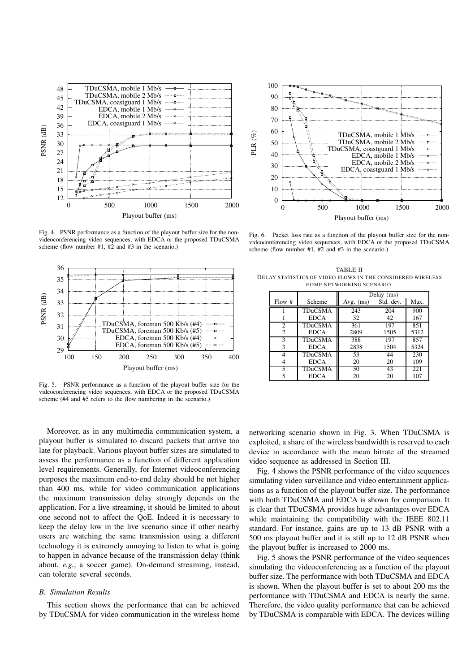

Fig. 4. PSNR performance as a function of the playout buffer size for the nonvideoconferencing video sequences, with EDCA or the proposed TDuCSMA scheme (flow number #1, #2 and #3 in the scenario.)



Fig. 5. PSNR performance as a function of the playout buffer size for the videoconferencing video sequences, with EDCA or the proposed TDuCSMA scheme (#4 and #5 refers to the flow numbering in the scenario.)

Moreover, as in any multimedia communication system, a playout buffer is simulated to discard packets that arrive too late for playback. Various playout buffer sizes are simulated to assess the performance as a function of different application level requirements. Generally, for Internet videoconferencing purposes the maximum end-to-end delay should be not higher than 400 ms, while for video communication applications the maximum transmission delay strongly depends on the application. For a live streaming, it should be limited to about one second not to affect the QoE. Indeed it is necessary to keep the delay low in the live scenario since if other nearby users are watching the same transmission using a different technology it is extremely annoying to listen to what is going to happen in advance because of the transmission delay (think about, *e.g.*, a soccer game). On-demand streaming, instead, can tolerate several seconds.

## *B. Simulation Results*

This section shows the performance that can be achieved by TDuCSMA for video communication in the wireless home



Fig. 6. Packet loss rate as a function of the playout buffer size for the nonvideoconferencing video sequences, with EDCA or the proposed TDuCSMA scheme (flow number  $#1, #2$  and  $#3$  in the scenario.)

TABLE II DELAY STATISTICS OF VIDEO FLOWS IN THE CONSIDERED WIRELESS HOME NETWORKING SCENARIO.

|               |                | Delay (ms)  |           |      |  |
|---------------|----------------|-------------|-----------|------|--|
| Flow#         | Scheme         | Avg. $(ms)$ | Std. dev. | Max. |  |
|               | <b>TDuCSMA</b> | 243         | 204       | 900  |  |
|               | <b>EDCA</b>    | 52          | 42        | 167  |  |
| $\mathcal{L}$ | <b>TDuCSMA</b> | 361         | 197       | 851  |  |
| 2             | <b>EDCA</b>    | 2809        | 1505      | 5312 |  |
| 3             | <b>TDuCSMA</b> | 388         | 197       | 857  |  |
| 3             | <b>EDCA</b>    | 2838        | 1504      | 5324 |  |
| $\Delta$      | <b>TDuCSMA</b> | 53          | 44        | 230  |  |
|               | <b>EDCA</b>    | 20          | 20        | 109  |  |
| 5             | <b>TDuCSMA</b> | 50          | 43        | 221  |  |
| 5             | <b>EDCA</b>    | 20          | 20        | 107  |  |

networking scenario shown in Fig. 3. When TDuCSMA is exploited, a share of the wireless bandwidth is reserved to each device in accordance with the mean bitrate of the streamed video sequence as addressed in Section III.

Fig. 4 shows the PSNR performance of the video sequences simulating video surveillance and video entertainment applications as a function of the playout buffer size. The performance with both TDuCSMA and EDCA is shown for comparison. It is clear that TDuCSMA provides huge advantages over EDCA while maintaining the compatibility with the IEEE 802.11 standard. For instance, gains are up to 13 dB PSNR with a 500 ms playout buffer and it is still up to 12 dB PSNR when the playout buffer is increased to 2000 ms.

Fig. 5 shows the PSNR performance of the video sequences simulating the videoconferencing as a function of the playout buffer size. The performance with both TDuCSMA and EDCA is shown. When the playout buffer is set to about 200 ms the performance with TDuCSMA and EDCA is nearly the same. Therefore, the video quality performance that can be achieved by TDuCSMA is comparable with EDCA. The devices willing